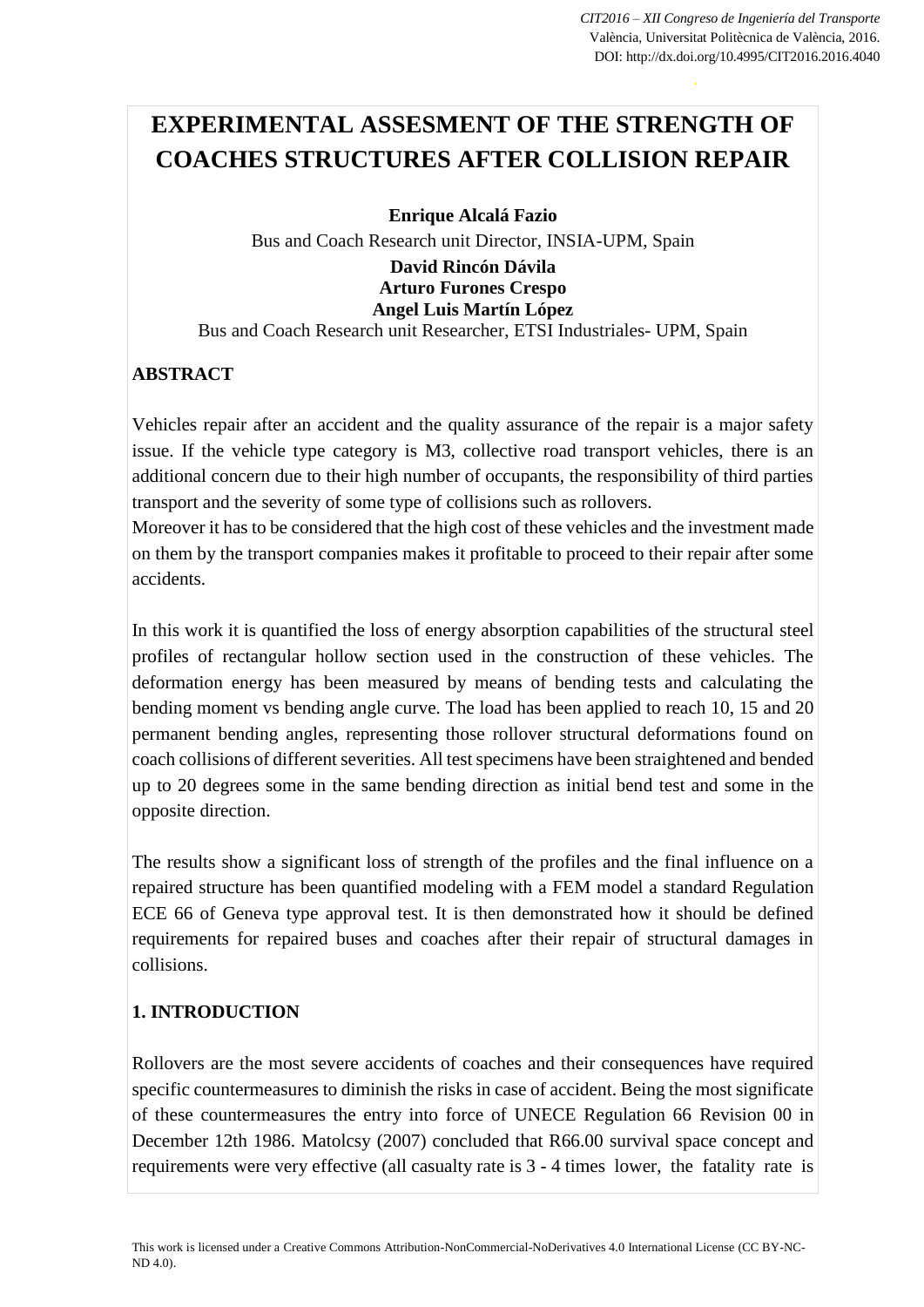# **EXPERIMENTAL ASSESMENT OF THE STRENGTH OF COACHES STRUCTURES AFTER COLLISION REPAIR**

**Enrique Alcalá Fazio**

Bus and Coach Research unit Director, INSIA-UPM, Spain

#### **David Rincón Dávila Arturo Furones Crespo Angel Luis Martín López**

Bus and Coach Research unit Researcher, ETSI Industriales- UPM, Spain

# **ABSTRACT**

Vehicles repair after an accident and the quality assurance of the repair is a major safety issue. If the vehicle type category is M3, collective road transport vehicles, there is an additional concern due to their high number of occupants, the responsibility of third parties transport and the severity of some type of collisions such as rollovers.

Moreover it has to be considered that the high cost of these vehicles and the investment made on them by the transport companies makes it profitable to proceed to their repair after some accidents.

In this work it is quantified the loss of energy absorption capabilities of the structural steel profiles of rectangular hollow section used in the construction of these vehicles. The deformation energy has been measured by means of bending tests and calculating the bending moment vs bending angle curve. The load has been applied to reach 10, 15 and 20 permanent bending angles, representing those rollover structural deformations found on coach collisions of different severities. All test specimens have been straightened and bended up to 20 degrees some in the same bending direction as initial bend test and some in the opposite direction.

The results show a significant loss of strength of the profiles and the final influence on a repaired structure has been quantified modeling with a FEM model a standard Regulation ECE 66 of Geneva type approval test. It is then demonstrated how it should be defined requirements for repaired buses and coaches after their repair of structural damages in collisions.

## **1. INTRODUCTION**

Rollovers are the most severe accidents of coaches and their consequences have required specific countermeasures to diminish the risks in case of accident. Being the most significate of these countermeasures the entry into force of UNECE Regulation 66 Revision 00 in December 12th 1986. Matolcsy (2007) concluded that R66.00 survival space concept and requirements were very effective (all casualty rate is 3 - 4 times lower, the fatality rate is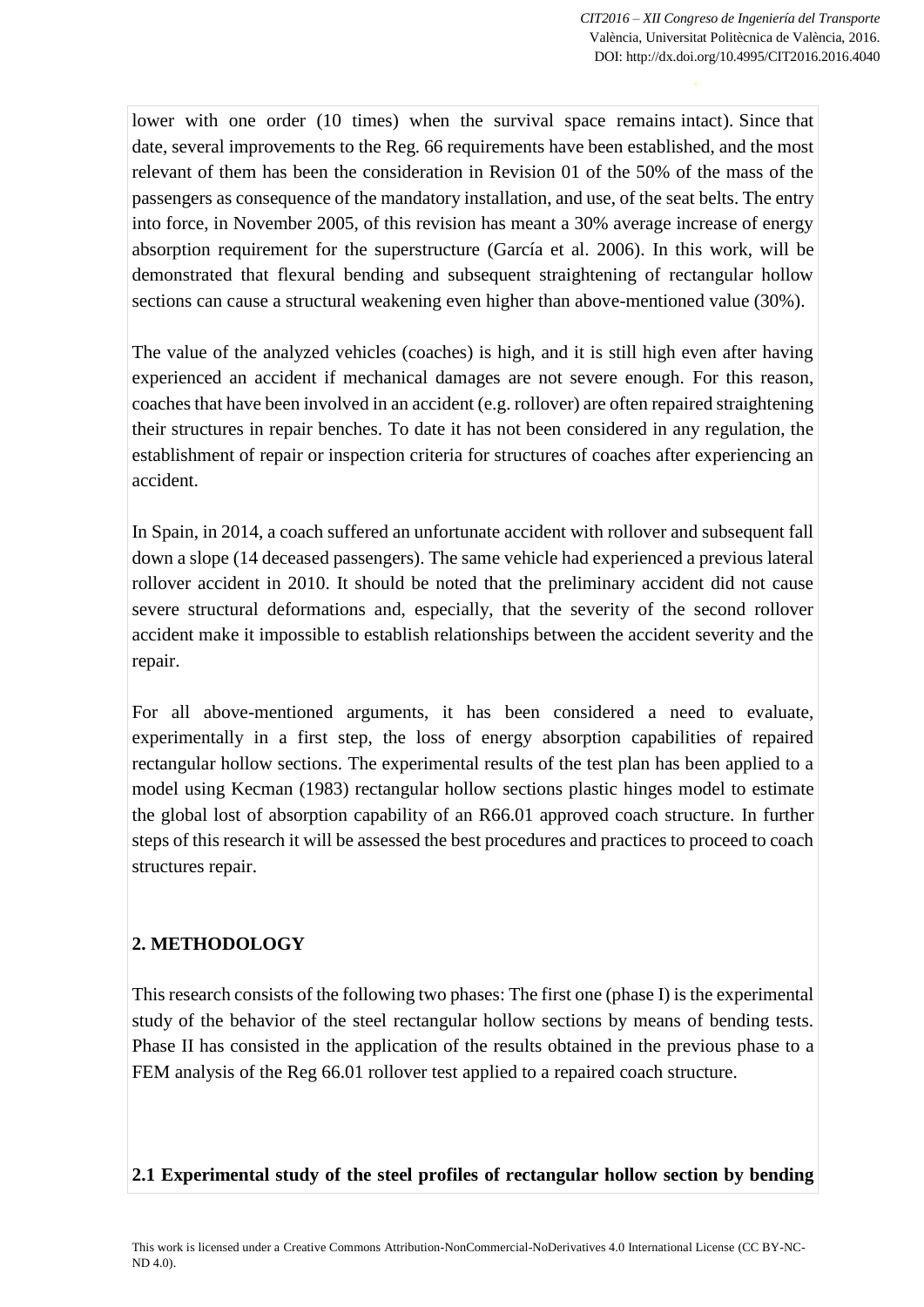lower with one order (10 times) when the survival space remains intact). Since that date, several improvements to the Reg. 66 requirements have been established, and the most relevant of them has been the consideration in Revision 01 of the 50% of the mass of the passengers as consequence of the mandatory installation, and use, of the seat belts. The entry into force, in November 2005, of this revision has meant a 30% average increase of energy absorption requirement for the superstructure (García et al. 2006). In this work, will be demonstrated that flexural bending and subsequent straightening of rectangular hollow sections can cause a structural weakening even higher than above-mentioned value (30%).

The value of the analyzed vehicles (coaches) is high, and it is still high even after having experienced an accident if mechanical damages are not severe enough. For this reason, coaches that have been involved in an accident (e.g. rollover) are often repaired straightening their structures in repair benches. To date it has not been considered in any regulation, the establishment of repair or inspection criteria for structures of coaches after experiencing an accident.

In Spain, in 2014, a coach suffered an unfortunate accident with rollover and subsequent fall down a slope (14 deceased passengers). The same vehicle had experienced a previous lateral rollover accident in 2010. It should be noted that the preliminary accident did not cause severe structural deformations and, especially, that the severity of the second rollover accident make it impossible to establish relationships between the accident severity and the repair.

For all above-mentioned arguments, it has been considered a need to evaluate, experimentally in a first step, the loss of energy absorption capabilities of repaired rectangular hollow sections. The experimental results of the test plan has been applied to a model using Kecman (1983) rectangular hollow sections plastic hinges model to estimate the global lost of absorption capability of an R66.01 approved coach structure. In further steps of this research it will be assessed the best procedures and practices to proceed to coach structures repair.

## **2. METHODOLOGY**

This research consists of the following two phases: The first one (phase I) is the experimental study of the behavior of the steel rectangular hollow sections by means of bending tests. Phase II has consisted in the application of the results obtained in the previous phase to a FEM analysis of the Reg 66.01 rollover test applied to a repaired coach structure.

#### **2.1 Experimental study of the steel profiles of rectangular hollow section by bending**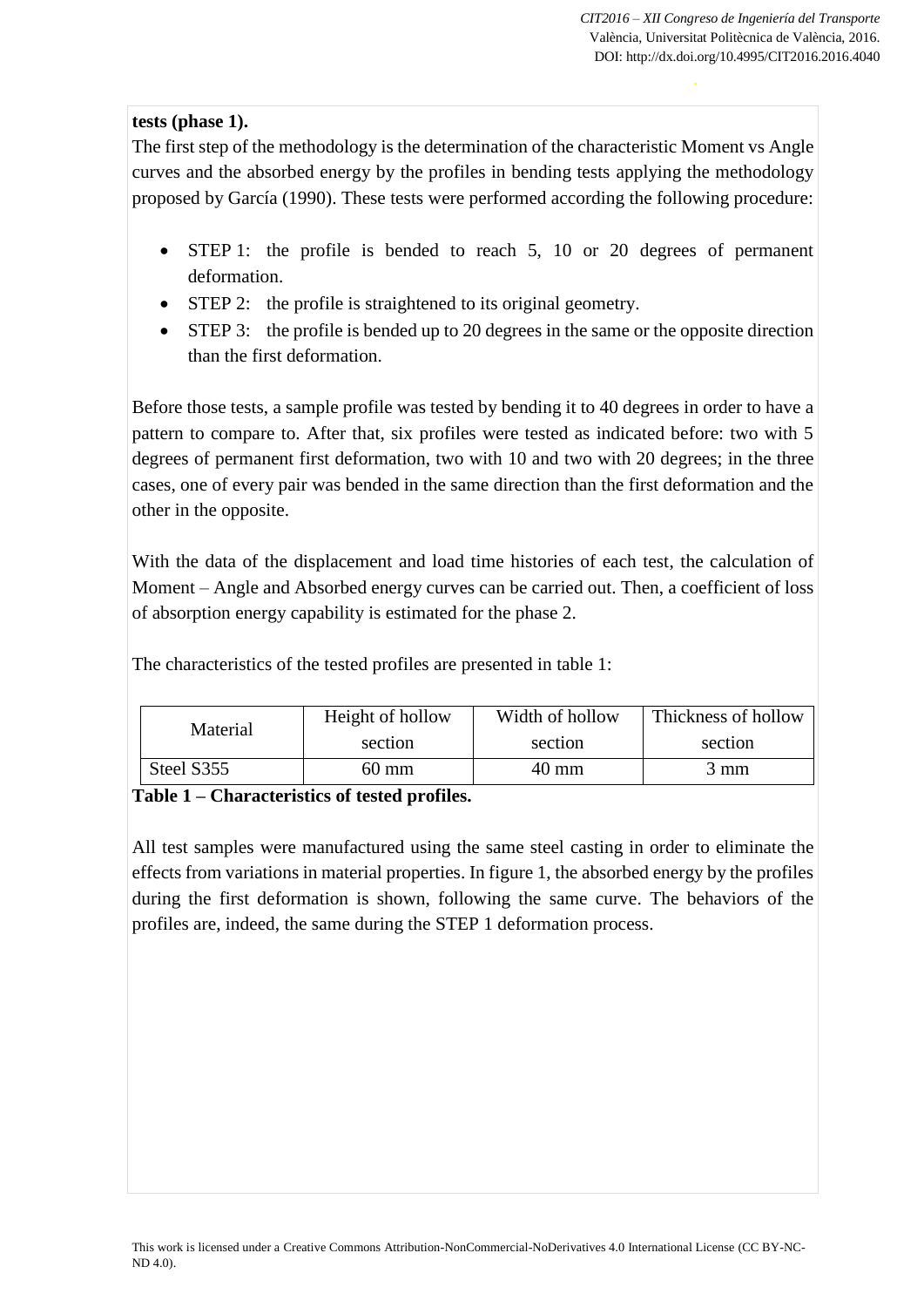## **tests (phase 1).**

The first step of the methodology is the determination of the characteristic Moment vs Angle curves and the absorbed energy by the profiles in bending tests applying the methodology proposed by García (1990). These tests were performed according the following procedure:

- STEP 1: the profile is bended to reach 5, 10 or 20 degrees of permanent deformation.
- STEP 2: the profile is straightened to its original geometry.
- STEP 3: the profile is bended up to 20 degrees in the same or the opposite direction than the first deformation.

Before those tests, a sample profile was tested by bending it to 40 degrees in order to have a pattern to compare to. After that, six profiles were tested as indicated before: two with 5 degrees of permanent first deformation, two with 10 and two with 20 degrees; in the three cases, one of every pair was bended in the same direction than the first deformation and the other in the opposite.

With the data of the displacement and load time histories of each test, the calculation of Moment – Angle and Absorbed energy curves can be carried out. Then, a coefficient of loss of absorption energy capability is estimated for the phase 2.

| Material   | Height of hollow | Width of hollow | Thickness of hollow |  |
|------------|------------------|-----------------|---------------------|--|
|            | section          | section         | section             |  |
| Steel S355 | 60 mm            | 40 mm           | 3 mm                |  |

The characteristics of the tested profiles are presented in table 1:

#### **Table 1 – Characteristics of tested profiles.**

All test samples were manufactured using the same steel casting in order to eliminate the effects from variations in material properties. In figure 1, the absorbed energy by the profiles during the first deformation is shown, following the same curve. The behaviors of the profiles are, indeed, the same during the STEP 1 deformation process.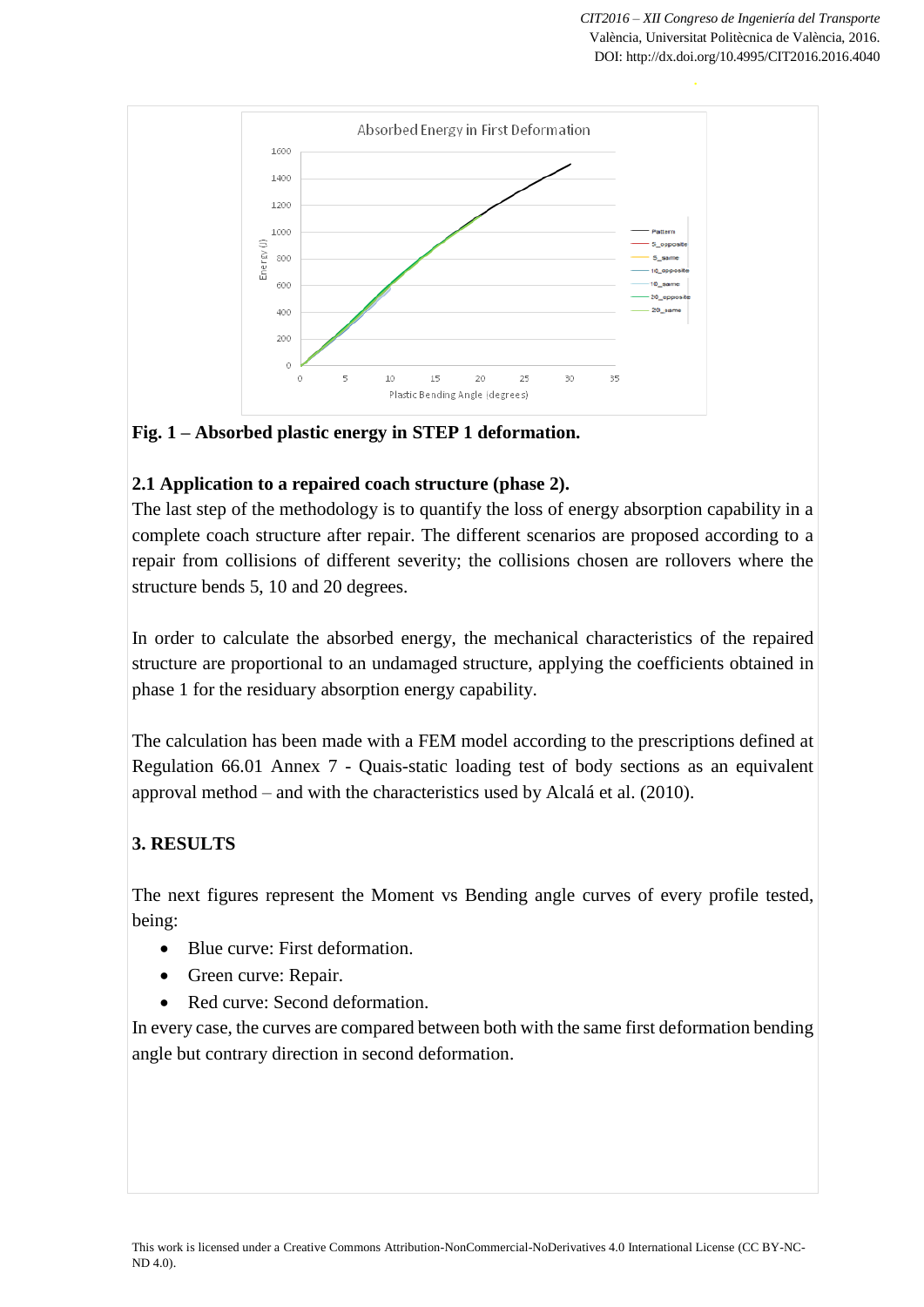

**Fig. 1 – Absorbed plastic energy in STEP 1 deformation.**

## **2.1 Application to a repaired coach structure (phase 2).**

The last step of the methodology is to quantify the loss of energy absorption capability in a complete coach structure after repair. The different scenarios are proposed according to a repair from collisions of different severity; the collisions chosen are rollovers where the structure bends 5, 10 and 20 degrees.

In order to calculate the absorbed energy, the mechanical characteristics of the repaired structure are proportional to an undamaged structure, applying the coefficients obtained in phase 1 for the residuary absorption energy capability.

The calculation has been made with a FEM model according to the prescriptions defined at Regulation 66.01 Annex 7 - Quais-static loading test of body sections as an equivalent approval method – and with the characteristics used by Alcalá et al. (2010).

# **3. RESULTS**

The next figures represent the Moment vs Bending angle curves of every profile tested, being:

- Blue curve: First deformation.
- Green curve: Repair.
- Red curve: Second deformation.

In every case, the curves are compared between both with the same first deformation bending angle but contrary direction in second deformation.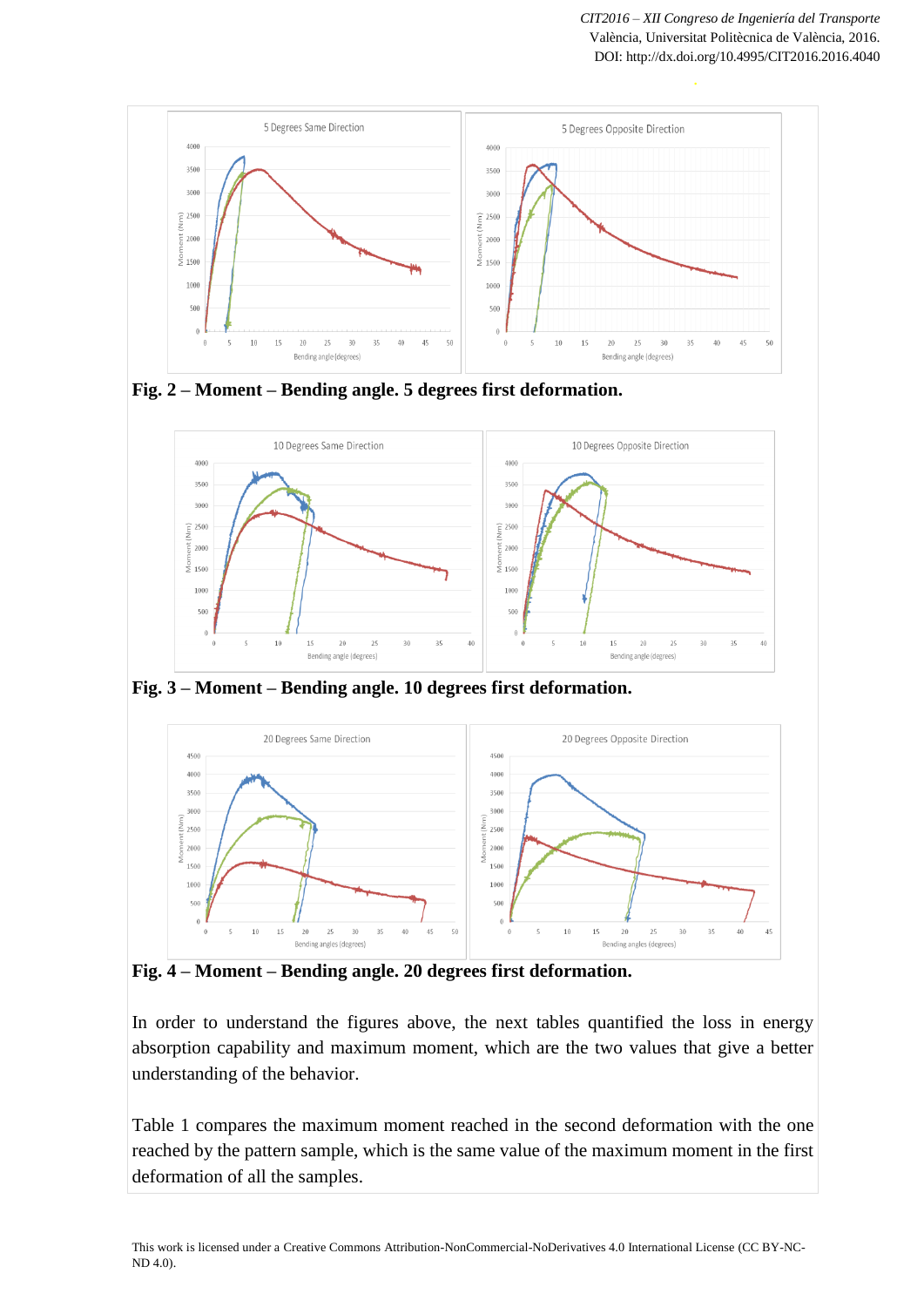

**Fig. 2 – Moment – Bending angle. 5 degrees first deformation.**



**Fig. 3 – Moment – Bending angle. 10 degrees first deformation.**



**Fig. 4 – Moment – Bending angle. 20 degrees first deformation.**

In order to understand the figures above, the next tables quantified the loss in energy absorption capability and maximum moment, which are the two values that give a better understanding of the behavior.

Table 1 compares the maximum moment reached in the second deformation with the one reached by the pattern sample, which is the same value of the maximum moment in the first deformation of all the samples.

This work is licensed under [a Creative Commons Attribution-NonCommercial-NoDerivatives 4.0 International License](http://creativecommons.org/licenses/by-nc-nd/4.0/) (CC BY-NC-ND 4.0).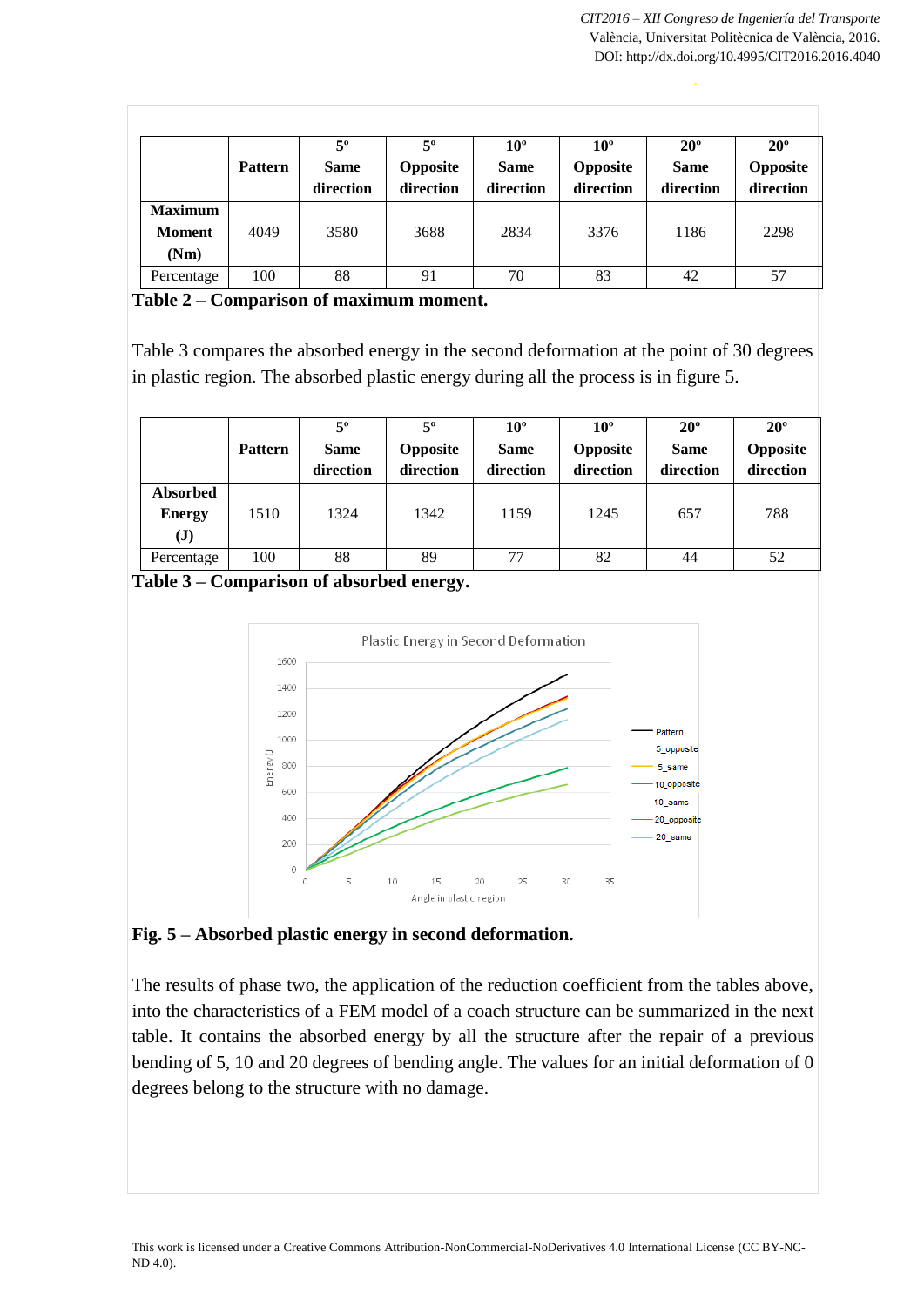|                                         | <b>Pattern</b> | $5^{\circ}$<br><b>Same</b><br>direction | 5°<br><b>Opposite</b><br>direction | $10^{\circ}$<br><b>Same</b><br>direction | $10^{\circ}$<br>Opposite<br>direction | $20^{\circ}$<br><b>Same</b><br>direction | $20^{\circ}$<br>Opposite<br>direction |
|-----------------------------------------|----------------|-----------------------------------------|------------------------------------|------------------------------------------|---------------------------------------|------------------------------------------|---------------------------------------|
| <b>Maximum</b><br><b>Moment</b><br>(Nm) | 4049           | 3580                                    | 3688                               | 2834                                     | 3376                                  | 1186                                     | 2298                                  |
| Percentage                              | 100            | 88                                      | 91                                 | 70                                       | 83                                    | 42                                       | 57                                    |

**Table 2 – Comparison of maximum moment.**

Table 3 compares the absorbed energy in the second deformation at the point of 30 degrees in plastic region. The absorbed plastic energy during all the process is in figure 5.

|                                                  | <b>Pattern</b> | 5°<br><b>Same</b><br>direction | $5^{\circ}$<br><b>Opposite</b><br>direction | $10^{\circ}$<br><b>Same</b><br>direction | $10^{\circ}$<br>Opposite<br>direction | $20^{\circ}$<br><b>Same</b><br>direction | $20^{\circ}$<br><b>Opposite</b><br>direction |
|--------------------------------------------------|----------------|--------------------------------|---------------------------------------------|------------------------------------------|---------------------------------------|------------------------------------------|----------------------------------------------|
| <b>Absorbed</b><br><b>Energy</b><br>$\mathbf{J}$ | 1510           | 1324                           | 1342                                        | 1159                                     | 1245                                  | 657                                      | 788                                          |
| Percentage                                       | 100            | 88                             | 89                                          | 77                                       | 82                                    | 44                                       | 52                                           |

**Table 3 – Comparison of absorbed energy.**



**Fig. 5 – Absorbed plastic energy in second deformation.**

The results of phase two, the application of the reduction coefficient from the tables above, into the characteristics of a FEM model of a coach structure can be summarized in the next table. It contains the absorbed energy by all the structure after the repair of a previous bending of 5, 10 and 20 degrees of bending angle. The values for an initial deformation of 0 degrees belong to the structure with no damage.

This work is licensed under [a Creative Commons Attribution-NonCommercial-NoDerivatives 4.0 International License](http://creativecommons.org/licenses/by-nc-nd/4.0/) (CC BY-NC-ND 4.0).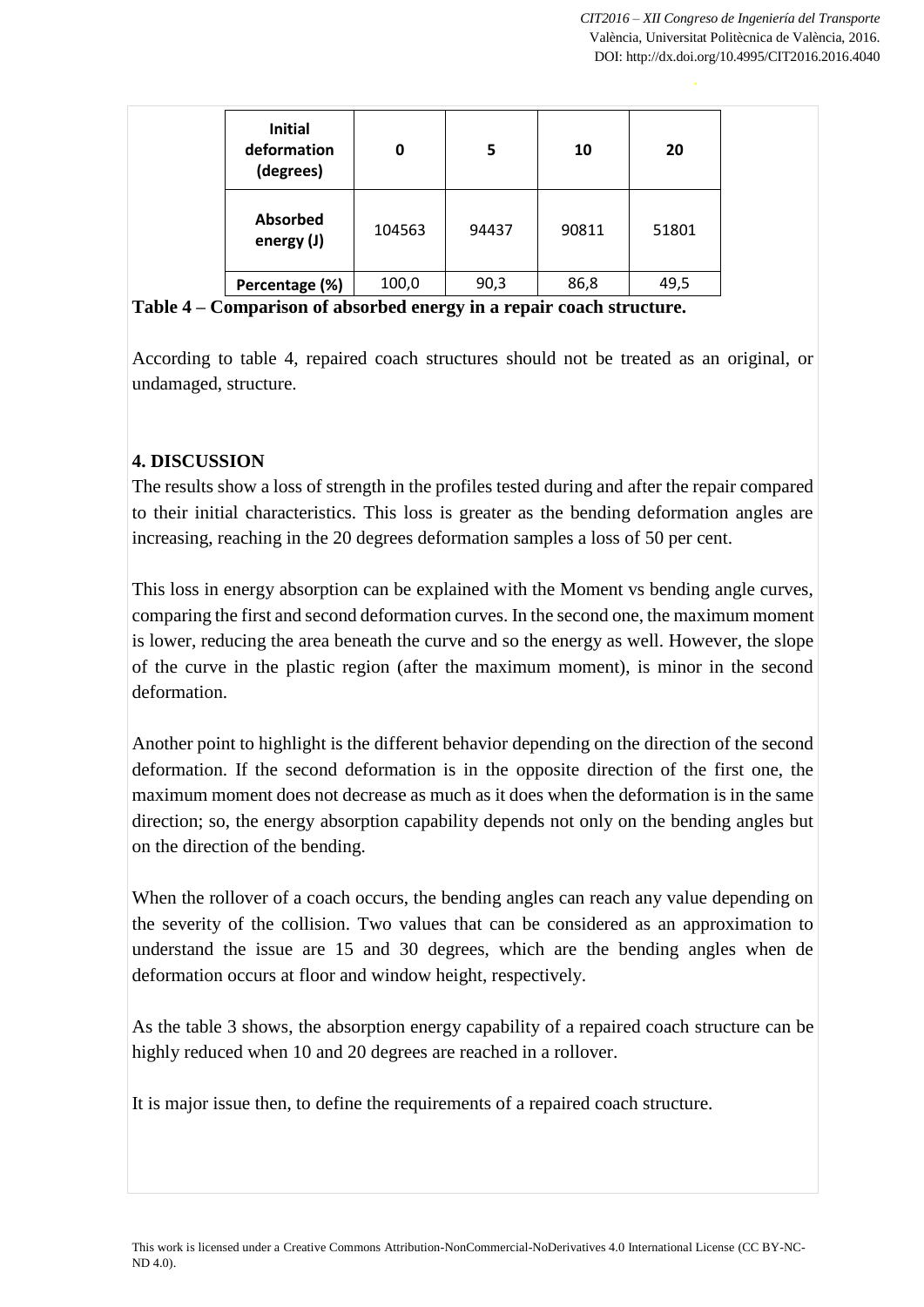| <b>Initial</b><br>deformation<br>(degrees) | 0      | 5     | 10    | 20    |
|--------------------------------------------|--------|-------|-------|-------|
| <b>Absorbed</b><br>energy (J)              | 104563 | 94437 | 90811 | 51801 |
| Percentage (%)                             | 100,0  | 90,3  | 86,8  | 49,5  |

**Table 4 – Comparison of absorbed energy in a repair coach structure.**

According to table 4, repaired coach structures should not be treated as an original, or undamaged, structure.

## **4. DISCUSSION**

The results show a loss of strength in the profiles tested during and after the repair compared to their initial characteristics. This loss is greater as the bending deformation angles are increasing, reaching in the 20 degrees deformation samples a loss of 50 per cent.

This loss in energy absorption can be explained with the Moment vs bending angle curves, comparing the first and second deformation curves. In the second one, the maximum moment is lower, reducing the area beneath the curve and so the energy as well. However, the slope of the curve in the plastic region (after the maximum moment), is minor in the second deformation.

Another point to highlight is the different behavior depending on the direction of the second deformation. If the second deformation is in the opposite direction of the first one, the maximum moment does not decrease as much as it does when the deformation is in the same direction; so, the energy absorption capability depends not only on the bending angles but on the direction of the bending.

When the rollover of a coach occurs, the bending angles can reach any value depending on the severity of the collision. Two values that can be considered as an approximation to understand the issue are 15 and 30 degrees, which are the bending angles when de deformation occurs at floor and window height, respectively.

As the table 3 shows, the absorption energy capability of a repaired coach structure can be highly reduced when 10 and 20 degrees are reached in a rollover.

It is major issue then, to define the requirements of a repaired coach structure.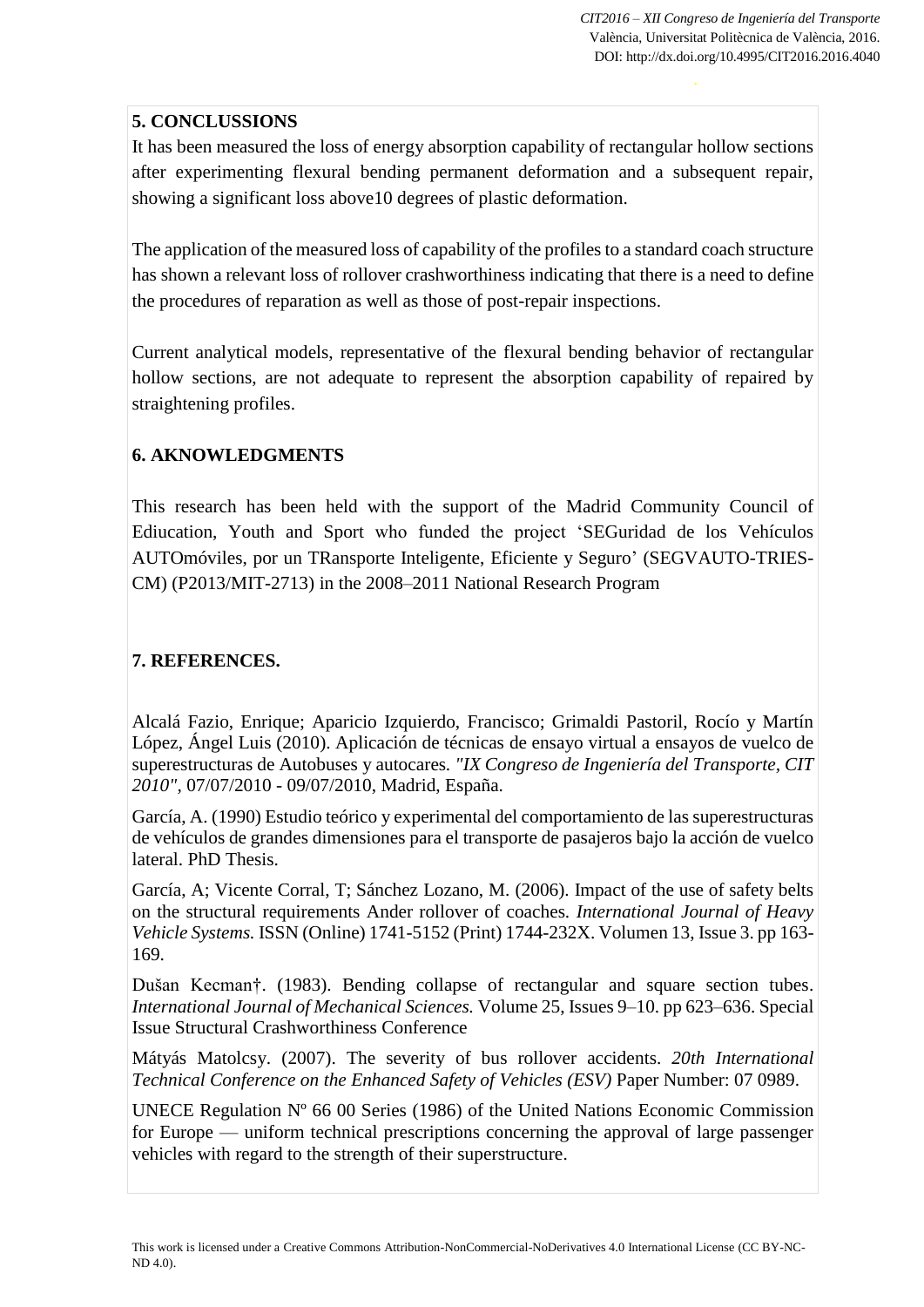# **5. CONCLUSSIONS**

It has been measured the loss of energy absorption capability of rectangular hollow sections after experimenting flexural bending permanent deformation and a subsequent repair, showing a significant loss above10 degrees of plastic deformation.

The application of the measured loss of capability of the profiles to a standard coach structure has shown a relevant loss of rollover crashworthiness indicating that there is a need to define the procedures of reparation as well as those of post-repair inspections.

Current analytical models, representative of the flexural bending behavior of rectangular hollow sections, are not adequate to represent the absorption capability of repaired by straightening profiles.

# **6. AKNOWLEDGMENTS**

This research has been held with the support of the Madrid Community Council of Ediucation, Youth and Sport who funded the project 'SEGuridad de los Vehículos AUTOmóviles, por un TRansporte Inteligente, Eficiente y Seguro' (SEGVAUTO-TRIES-CM) (P2013/MIT-2713) in the 2008–2011 National Research Program

# **7. REFERENCES.**

Alcalá Fazio, Enrique; Aparicio Izquierdo, Francisco; Grimaldi Pastoril, Rocío y Martín López, Ángel Luis (2010). Aplicación de técnicas de ensayo virtual a ensayos de vuelco de superestructuras de Autobuses y autocares*. "IX Congreso de Ingeniería del Transporte, CIT 2010",* 07/07/2010 - 09/07/2010, Madrid, España.

García, A. (1990) Estudio teórico y experimental del comportamiento de las superestructuras de vehículos de grandes dimensiones para el transporte de pasajeros bajo la acción de vuelco lateral. PhD Thesis.

García, A; Vicente Corral, T; Sánchez Lozano, M. (2006). Impact of the use of safety belts on the structural requirements Ander rollover of coaches*. International Journal of Heavy Vehicle Systems.* ISSN (Online) 1741-5152 (Print) 1744-232X. Volumen 13, Issue 3. pp 163- 169.

Dušan Kecman†. (1983). Bending collapse of rectangular and square section tubes. *International Journal of Mechanical Sciences.* Volume 25, Issues 9–10. pp 623–636. Special Issue Structural Crashworthiness Conference

Mátyás Matolcsy. (2007). The severity of bus rollover accidents. *20th International Technical Conference on the Enhanced Safety of Vehicles (ESV)* Paper Number: 07 0989.

UNECE Regulation Nº 66 00 Series (1986) of the United Nations Economic Commission for Europe — uniform technical prescriptions concerning the approval of large passenger vehicles with regard to the strength of their superstructure.